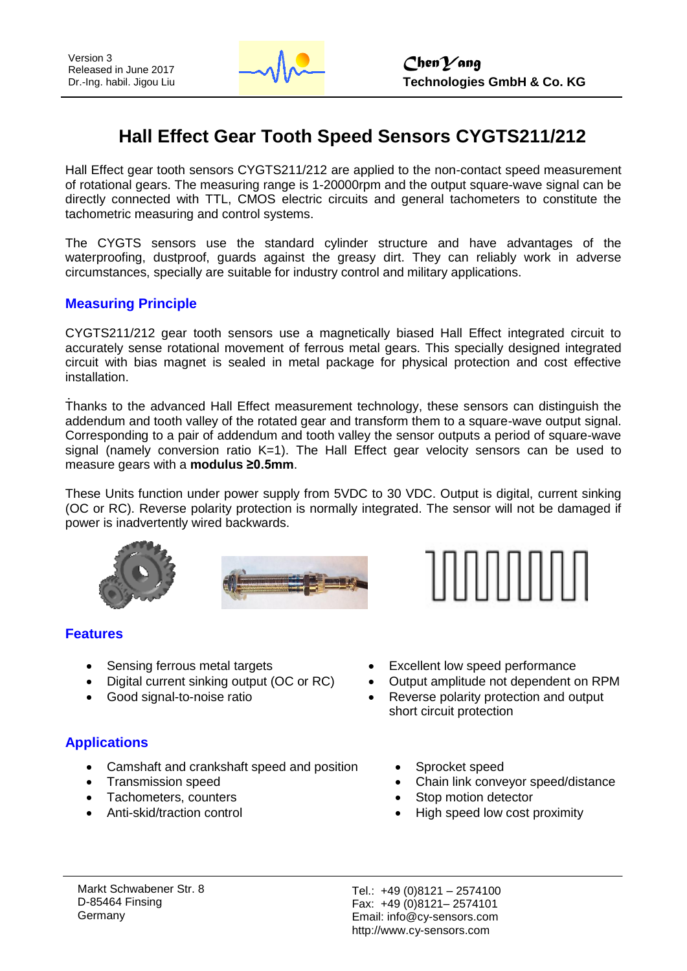

# **Hall Effect Gear Tooth Speed Sensors CYGTS211/212**

Hall Effect gear tooth sensors CYGTS211/212 are applied to the non-contact speed measurement of rotational gears. The measuring range is 1-20000rpm and the output square-wave signal can be directly connected with TTL, CMOS electric circuits and general tachometers to constitute the tachometric measuring and control systems.

The CYGTS sensors use the standard cylinder structure and have advantages of the waterproofing, dustproof, guards against the greasy dirt. They can reliably work in adverse circumstances, specially are suitable for industry control and military applications.

#### **Measuring Principle**

CYGTS211/212 gear tooth sensors use a magnetically biased Hall Effect integrated circuit to accurately sense rotational movement of ferrous metal gears. This specially designed integrated circuit with bias magnet is sealed in metal package for physical protection and cost effective installation.

Thanks to the advanced Hall Effect measurement technology, these sensors can distinguish the addendum and tooth valley of the rotated gear and transform them to a square-wave output signal. Corresponding to a pair of addendum and tooth valley the sensor outputs a period of square-wave signal (namely conversion ratio  $K=1$ ). The Hall Effect gear velocity sensors can be used to measure gears with a **modulus ≥0.5mm**.

These Units function under power supply from 5VDC to 30 VDC. Output is digital, current sinking (OC or RC). Reverse polarity protection is normally integrated. The sensor will not be damaged if power is inadvertently wired backwards.





#### **Features**

- Sensing ferrous metal targets
- Digital current sinking output (OC or RC)
- Good signal-to-noise ratio

## **Applications**

- Camshaft and crankshaft speed and position
- Transmission speed
- Tachometers, counters
- Anti-skid/traction control
- Excellent low speed performance
- Output amplitude not dependent on RPM
- Reverse polarity protection and output short circuit protection
	- Sprocket speed
	- Chain link conveyor speed/distance
	- Stop motion detector
	- High speed low cost proximity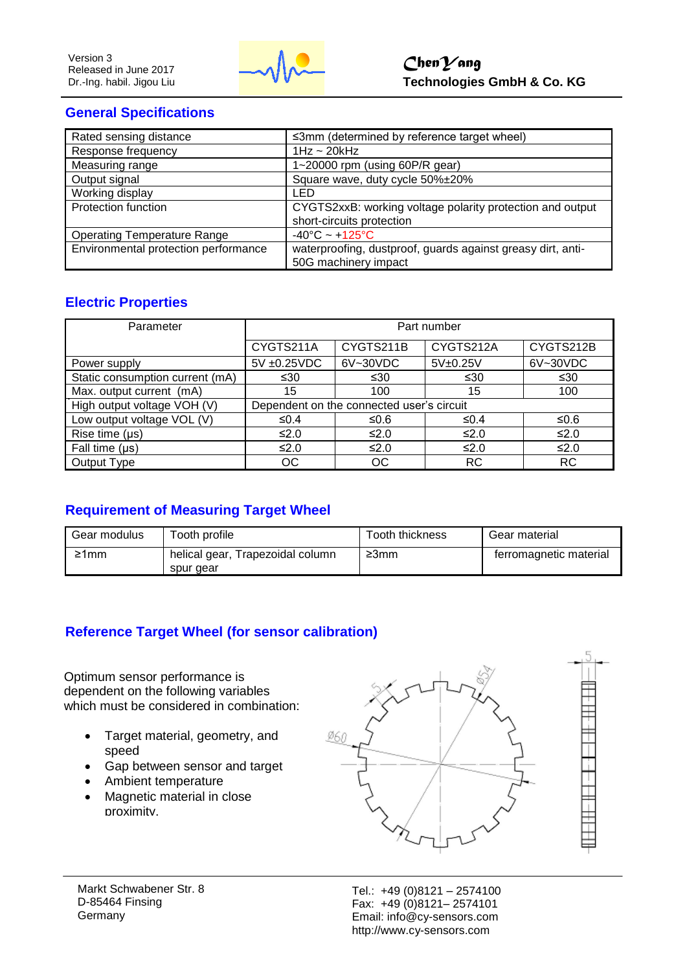

# **General Specifications**

| Rated sensing distance               | ≤3mm (determined by reference target wheel)                 |
|--------------------------------------|-------------------------------------------------------------|
| Response frequency                   | $1Hz \sim 20kHz$                                            |
| Measuring range                      | 1~20000 rpm (using 60P/R gear)                              |
| Output signal                        | Square wave, duty cycle 50%±20%                             |
| Working display                      | LED                                                         |
| Protection function                  | CYGTS2xxB: working voltage polarity protection and output   |
|                                      | short-circuits protection                                   |
| <b>Operating Temperature Range</b>   | $-40^{\circ}$ C ~ $+125^{\circ}$ C                          |
| Environmental protection performance | waterproofing, dustproof, guards against greasy dirt, anti- |
|                                      | 50G machinery impact                                        |

# **Electric Properties**

| Parameter                       | Part number                               |            |           |            |
|---------------------------------|-------------------------------------------|------------|-----------|------------|
|                                 | CYGTS211A                                 | CYGTS211B  | CYGTS212A | CYGTS212B  |
| Power supply                    | $5V \pm 0.25VDC$                          | 6V~30VDC   | 5V±0.25V  | 6V~30VDC   |
| Static consumption current (mA) | ≤30                                       | ≤30        | ≤30       | ≤30        |
| Max. output current (mA)        | 15                                        | 100        | 15        | 100        |
| High output voltage VOH (V)     | Dependent on the connected user's circuit |            |           |            |
| Low output voltage VOL (V)      | ≤0.4                                      | ≤0.6       | ≤0.4      | ≤0.6       |
| Rise time $(\mu s)$             | ≤2.0                                      | ≤2.0       | ≤2.0      | ≤2.0       |
| Fall time $(\mu s)$             | ≤2.0                                      | $\leq 2.0$ | ≤2.0      | $\leq 2.0$ |
| Output Type                     | ОC                                        | ОC         | <b>RC</b> | <b>RC</b>  |

# **Requirement of Measuring Target Wheel**

| Gear modulus | Tooth profile                                 | Tooth thickness | Gear material          |
|--------------|-----------------------------------------------|-----------------|------------------------|
| ≥1mm         | helical gear, Trapezoidal column<br>spur gear | ≥3mm            | ferromagnetic material |

## **Reference Target Wheel (for sensor calibration)**

Optimum sensor performance is dependent on the following variables which must be considered in combination:

- Target material, geometry, and speed
- Gap between sensor and target
- Ambient temperature
- Magnetic material in close proximity.



Markt Schwabener Str. 8 D-85464 Finsing Germany

Tel.: +49 (0)8121 – 2574100 Fax: +49 (0)8121– 2574101 Email: info@cy-sensors.com http://www.cy-sensors.com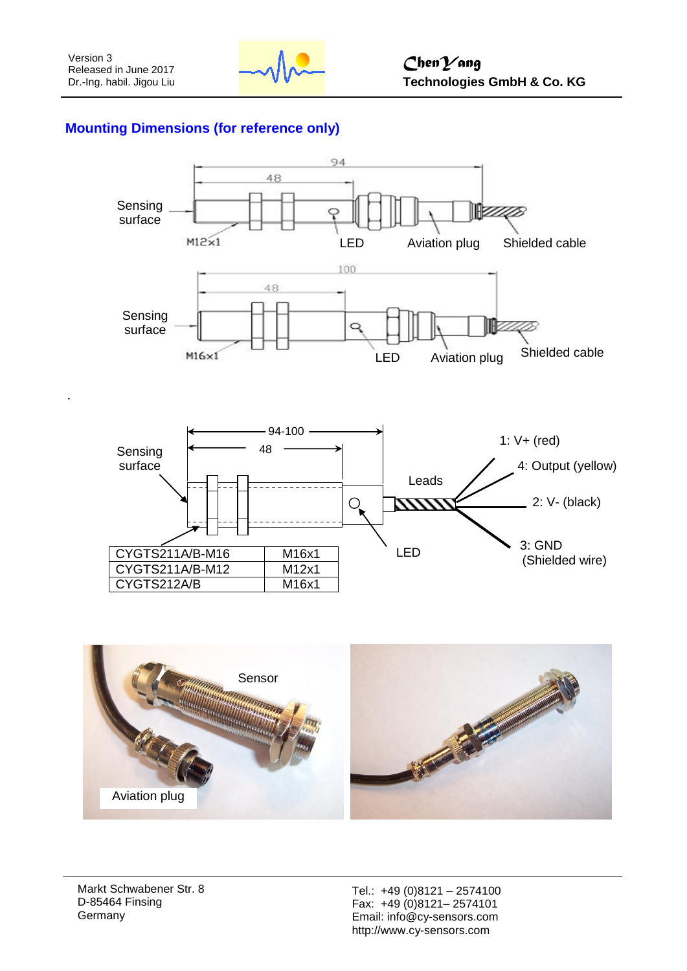

## **Mounting Dimensions (for reference only)**





Markt Schwabener Str. 8 D-85464 Finsing Germany

Tel.: +49 (0)8121 – 2574100 Fax: +49 (0)8121– 2574101 Email: info@cy-sensors.com http://www.cy-sensors.com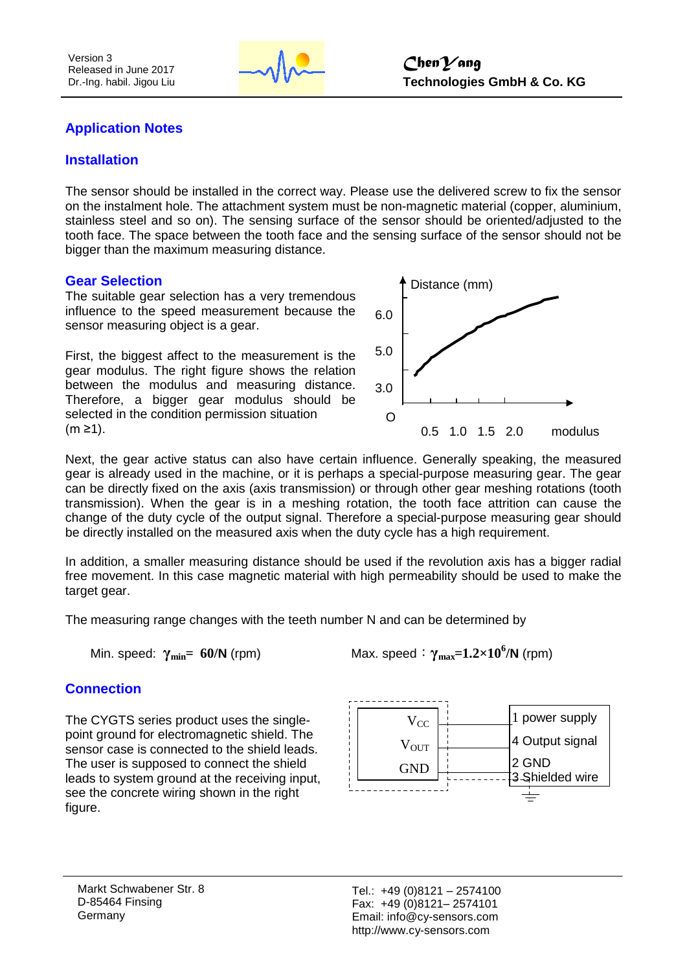

#### **Application Notes**

#### **Installation**

The sensor should be installed in the correct way. Please use the delivered screw to fix the sensor on the instalment hole. The attachment system must be non-magnetic material (copper, aluminium, stainless steel and so on). The sensing surface of the sensor should be oriented/adjusted to the tooth face. The space between the tooth face and the sensing surface of the sensor should not be bigger than the maximum measuring distance.

#### **Gear Selection**

The suitable gear selection has a very tremendous influence to the speed measurement because the sensor measuring object is a gear.

First, the biggest affect to the measurement is the gear modulus. The right figure shows the relation between the modulus and measuring distance. Therefore, a bigger gear modulus should be selected in the condition permission situation (m ≥1).



Next, the gear active status can also have certain influence. Generally speaking, the measured gear is already used in the machine, or it is perhaps a special-purpose measuring gear. The gear can be directly fixed on the axis (axis transmission) or through other gear meshing rotations (tooth transmission). When the gear is in a meshing rotation, the tooth face attrition can cause the change of the duty cycle of the output signal. Therefore a special-purpose measuring gear should be directly installed on the measured axis when the duty cycle has a high requirement.

In addition, a smaller measuring distance should be used if the revolution axis has a bigger radial free movement. In this case magnetic material with high permeability should be used to make the target gear.

The measuring range changes with the teeth number N and can be determined by

**Min. speed:**  $γ_{min} = 60/N$  (rpm)

Max. speed:  $\gamma_{\text{max}}=1.2\times10^6/\text{N}$  (rpm)

#### **Connection**

The CYGTS series product uses the singlepoint ground for electromagnetic shield. The sensor case is connected to the shield leads. The user is supposed to connect the shield leads to system ground at the receiving input, see the concrete wiring shown in the right figure.

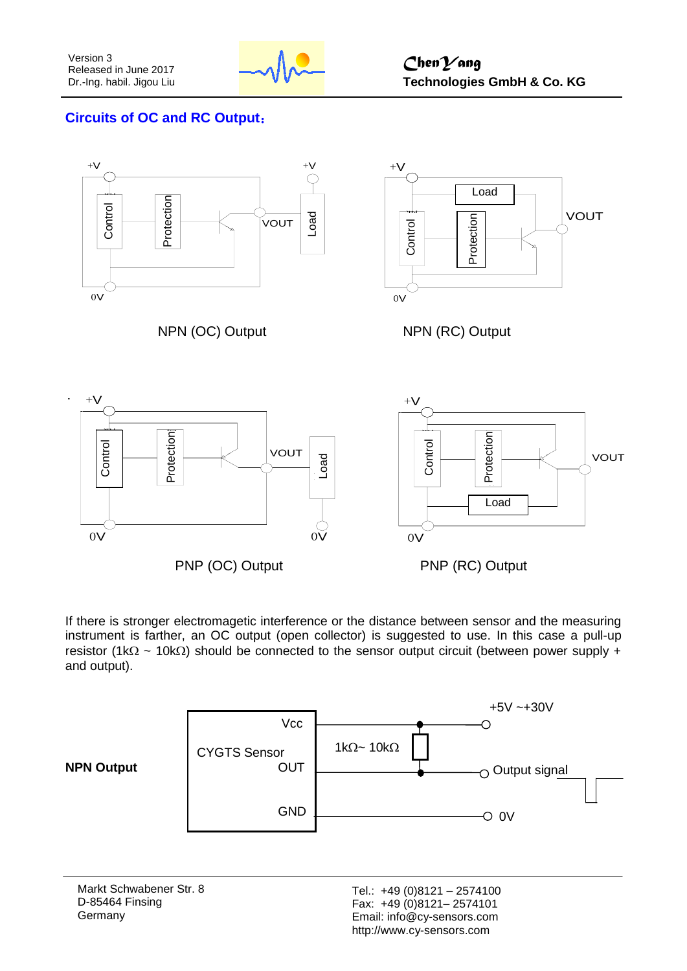

# **Circuits of OC and RC Output**:



If there is stronger electromagetic interference or the distance between sensor and the measuring instrument is farther, an OC output (open collector) is suggested to use. In this case a pull-up resistor (1k $\Omega \sim 10$ k $\Omega$ ) should be connected to the sensor output circuit (between power supply + and output).